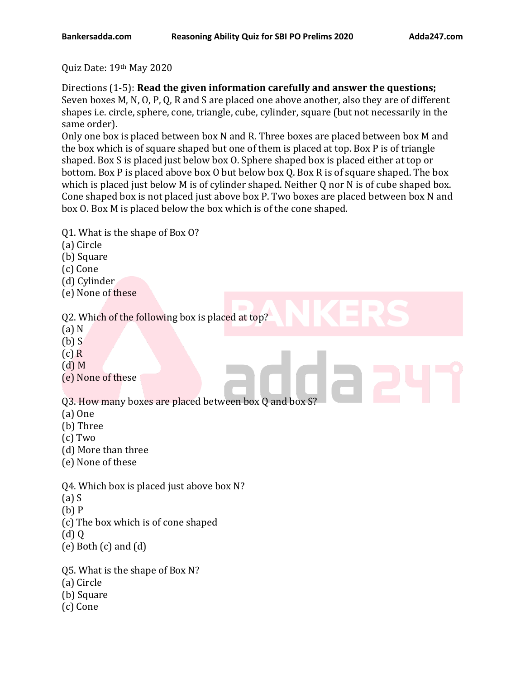Quiz Date: 19th May 2020

Directions (1-5): **Read the given information carefully and answer the questions;** Seven boxes M, N, O, P, Q, R and S are placed one above another, also they are of different shapes i.e. circle, sphere, cone, triangle, cube, cylinder, square (but not necessarily in the same order).

Only one box is placed between box N and R. Three boxes are placed between box M and the box which is of square shaped but one of them is placed at top. Box P is of triangle shaped. Box S is placed just below box O. Sphere shaped box is placed either at top or bottom. Box P is placed above box O but below box Q. Box R is of square shaped. The box which is placed just below M is of cylinder shaped. Neither Q nor N is of cube shaped box. Cone shaped box is not placed just above box P. Two boxes are placed between box N and box O. Box M is placed below the box which is of the cone shaped.

Q1. What is the shape of Box O?

- (a) Circle
- (b) Square
- (c) Cone
- (d) Cylinder
- (e) None of these

Q2. Which of the following box is placed at top?

- (a) N
- (b) S
- (c) R
- (d) M
- (e) None of these

Q3. How many boxes are placed between box Q and box S?

- (a) One
- (b) Three
- (c) Two
- (d) More than three
- (e) None of these

Q4. Which box is placed just above box N?

- (a) S
- (b) P
- (c) The box which is of cone shaped
- $\left(\mathrm{d}\right)$  Q
- (e) Both (c) and (d)
- Q5. What is the shape of Box N?
- (a) Circle
- (b) Square
- (c) Cone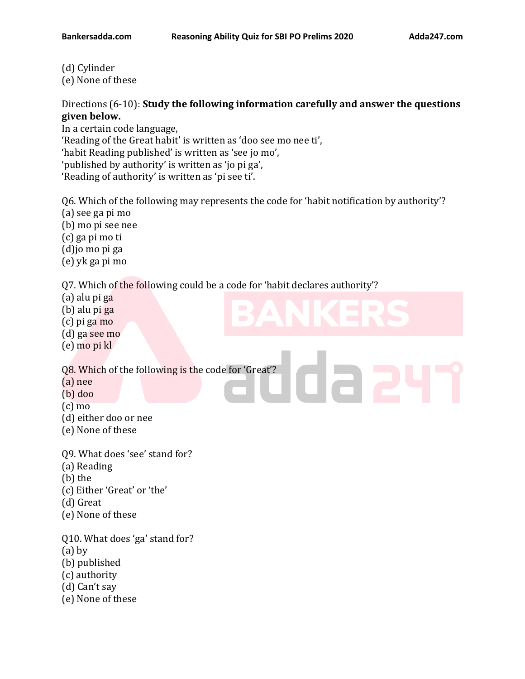- (d) Cylinder
- (e) None of these

### Directions (6-10): **Study the following information carefully and answer the questions given below.**

In a certain code language, 'Reading of the Great habit' is written as 'doo see mo nee ti', 'habit Reading published' is written as 'see jo mo', 'published by authority' is written as 'jo pi ga',

'Reading of authority' is written as 'pi see ti'.

Q6. Which of the following may represents the code for 'habit notification by authority'?

- (a) see ga pi mo
- (b) mo pi see nee
- (c) ga pi mo ti
- (d)jo mo pi ga
- (e) yk ga pi mo

Q7. Which of the following could be a code for 'habit declares authority'?

- (a) alu pi ga
- (b) alu pi ga
- (c) pi ga mo
- (d) ga see mo
- (e) mo pi kl

Q8. Which of the following is the code for 'Great'?

- (a) nee
- (b) doo
- (c) mo
- (d) either doo or nee
- (e) None of these
- Q9. What does 'see' stand for?
- (a) Reading
- (b) the
- (c) Either 'Great' or 'the'
- (d) Great
- (e) None of these

Q10. What does 'ga' stand for?

- (a) by
- (b) published
- (c) authority
- (d) Can't say
- (e) None of these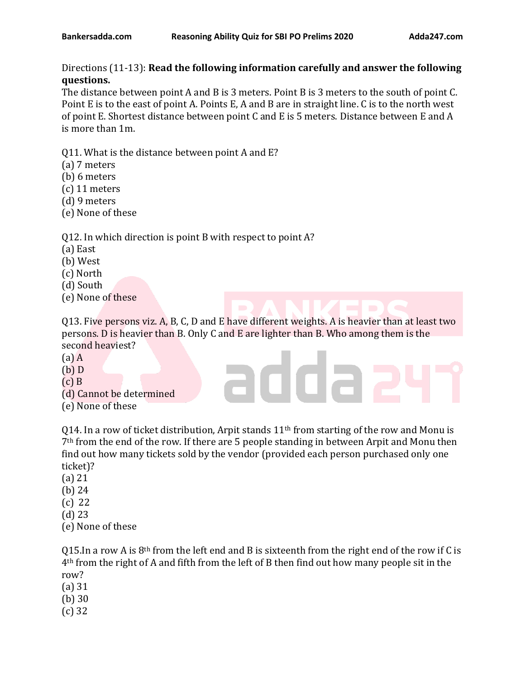## Directions (11-13): **Read the following information carefully and answer the following questions.**

The distance between point A and B is 3 meters. Point B is 3 meters to the south of point C. Point E is to the east of point A. Points E, A and B are in straight line. C is to the north west of point E. Shortest distance between point C and E is 5 meters. Distance between E and A is more than 1m.

Q11. What is the distance between point A and E?

- (a) 7 meters
- (b) 6 meters
- (c) 11 meters
- (d) 9 meters
- (e) None of these

### Q12. In which direction is point B with respect to point A?

- (a) East
- (b) West
- (c) North
- (d) South
- (e) None of these

Q13. Five persons viz. A, B, C, D and E have different weights. A is heavier than at least two persons. D is heavier than B. Only C and E are lighter than B. Who among them is the second heaviest?

adda

- (a) A
- (b) D
- $(c)$  B
- (d) Cannot be determined
- (e) None of these

Q14. In a row of ticket distribution, Arpit stands  $11<sup>th</sup>$  from starting of the row and Monu is 7th from the end of the row. If there are 5 people standing in between Arpit and Monu then find out how many tickets sold by the vendor (provided each person purchased only one ticket)?

- (a) 21
- (b) 24
- (c) 22
- (d) 23
- (e) None of these

Q15.In a row A is  $8<sup>th</sup>$  from the left end and B is sixteenth from the right end of the row if C is 4th from the right of A and fifth from the left of B then find out how many people sit in the row?

- (a) 31
- (b) 30
- (c) 32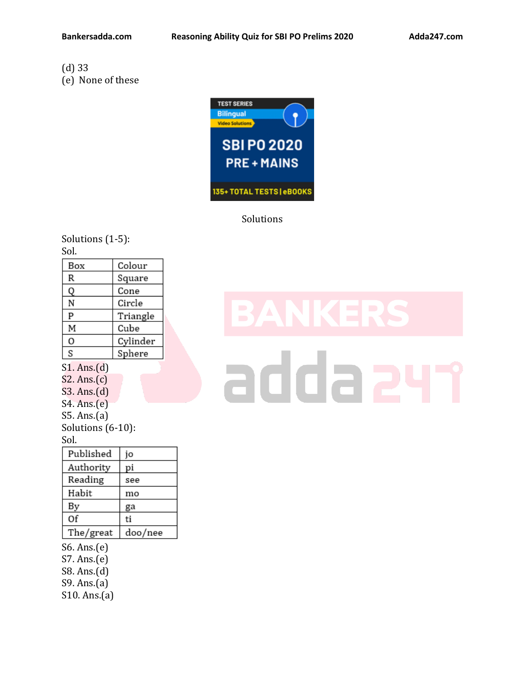### (d) 33 (e) None of these

**TEST SERIES Bilingual**<br>Video Solutions **SBIP02020 PRE+MAINS** 135+ TOTAL TESTS | eBOOKS

Solutions

Solutions (1-5): Sol.

| Box               | Colour   |
|-------------------|----------|
| R                 | Square   |
| Q                 | Cone     |
| N                 | Circle   |
| P                 | Triangle |
| М                 | Cube     |
| O                 | Cylinder |
| S                 | Sphere   |
| S1. Ans.(d)       |          |
| S2. Ans.(c)       |          |
| S3. Ans.(d)       |          |
| S4. Ans.(e)       |          |
| S5. Ans.(a)       |          |
| Solutions (6-10): |          |
| Sol.              |          |
| Published         | jo       |
| Authority         | pi       |
| Reading           | see      |
| Habit             | mo       |
| Вy                | ga       |
| Of                | ti       |
| The/great         | doo/nee  |
| S6. Ans.(e)       |          |
| S7. Ans.(e)       |          |
| S8. Ans.(d)       |          |
| S9. Ans.(a)       |          |

# S10. Ans.(a)

# adda 24